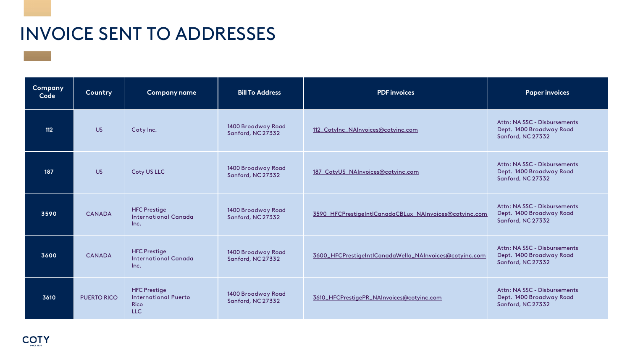| Company<br>Code | Country            | <b>Company name</b>                                               | <b>Bill To Address</b>                  | <b>PDF</b> invoices                                    | <b>Paper invoices</b>                                                         |
|-----------------|--------------------|-------------------------------------------------------------------|-----------------------------------------|--------------------------------------------------------|-------------------------------------------------------------------------------|
| 112             | <b>US</b>          | Coty Inc.                                                         | 1400 Broadway Road<br>Sanford, NC 27332 | 112_Cotylnc_NAInvoices@cotyinc.com                     | Attn: NA SSC - Disbursements<br>Dept. 1400 Broadway Road<br>Sanford, NC 27332 |
| 187             | <b>US</b>          | Coty US LLC                                                       | 1400 Broadway Road<br>Sanford, NC 27332 | 187_CotyUS_NAInvoices@cotyinc.com                      | Attn: NA SSC - Disbursements<br>Dept. 1400 Broadway Road<br>Sanford, NC 27332 |
| 3590            | <b>CANADA</b>      | <b>HFC Prestige</b><br><b>International Canada</b><br>Inc.        | 1400 Broadway Road<br>Sanford, NC 27332 | 3590_HFCPrestigeIntlCanadaCBLux_NAInvoices@cotyinc.com | Attn: NA SSC - Disbursements<br>Dept. 1400 Broadway Road<br>Sanford, NC 27332 |
| 3600            | <b>CANADA</b>      | <b>HFC Prestige</b><br><b>International Canada</b><br>Inc.        | 1400 Broadway Road<br>Sanford, NC 27332 | 3600_HFCPrestigeIntlCanadaWella_NAInvoices@cotyinc.com | Attn: NA SSC - Disbursements<br>Dept. 1400 Broadway Road<br>Sanford, NC 27332 |
| 3610            | <b>PUERTO RICO</b> | <b>HFC Prestige</b><br><b>International Puerto</b><br>Rico<br>LLC | 1400 Broadway Road<br>Sanford, NC 27332 | 3610_HFCPrestigePR_NAInvoices@cotyinc.com              | Attn: NA SSC - Disbursements<br>Dept. 1400 Broadway Road<br>Sanford, NC 27332 |

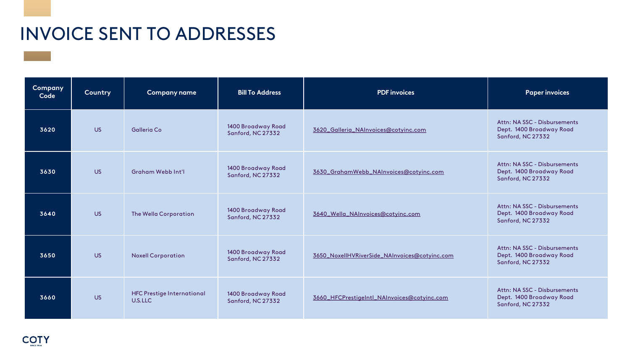| <b>Company</b><br>Code | Country   | <b>Company name</b>                          | <b>Bill To Address</b>                  | <b>PDF</b> invoices                           | <b>Paper invoices</b>                                                         |
|------------------------|-----------|----------------------------------------------|-----------------------------------------|-----------------------------------------------|-------------------------------------------------------------------------------|
| 3620                   | <b>US</b> | <b>Galleria Co</b>                           | 1400 Broadway Road<br>Sanford, NC 27332 | 3620_Galleria_NAInvoices@cotyinc.com          | Attn: NA SSC - Disbursements<br>Dept. 1400 Broadway Road<br>Sanford, NC 27332 |
| 3630                   | <b>US</b> | <b>Graham Webb Int'l</b>                     | 1400 Broadway Road<br>Sanford, NC 27332 | 3630_GrahamWebb_NAInvoices@cotyinc.com        | Attn: NA SSC - Disbursements<br>Dept. 1400 Broadway Road<br>Sanford, NC 27332 |
| 3640                   | <b>US</b> | The Wella Corporation                        | 1400 Broadway Road<br>Sanford, NC 27332 | 3640_Wella_NAInvoices@cotyinc.com             | Attn: NA SSC - Disbursements<br>Dept. 1400 Broadway Road<br>Sanford, NC 27332 |
| 3650                   | <b>US</b> | <b>Noxell Corporation</b>                    | 1400 Broadway Road<br>Sanford, NC 27332 | 3650_NoxellHVRiverSide_NAInvoices@cotyinc.com | Attn: NA SSC - Disbursements<br>Dept. 1400 Broadway Road<br>Sanford, NC 27332 |
| 3660                   | <b>US</b> | <b>HFC Prestige International</b><br>U.S.LLC | 1400 Broadway Road<br>Sanford, NC 27332 | 3660_HFCPrestigeIntl_NAInvoices@cotyinc.com   | Attn: NA SSC - Disbursements<br>Dept. 1400 Broadway Road<br>Sanford, NC 27332 |

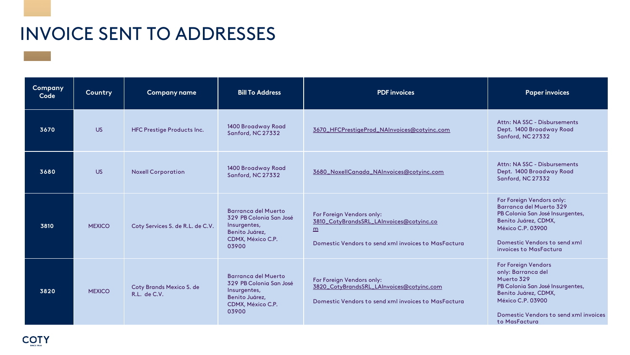| Company<br>Code | Country       | <b>Company name</b>                             | <b>Bill To Address</b>                                                                                                | <b>PDF</b> invoices                                                                                                                             | <b>Paper invoices</b>                                                                                                                                                                                            |
|-----------------|---------------|-------------------------------------------------|-----------------------------------------------------------------------------------------------------------------------|-------------------------------------------------------------------------------------------------------------------------------------------------|------------------------------------------------------------------------------------------------------------------------------------------------------------------------------------------------------------------|
| 3670            | <b>US</b>     | <b>HFC Prestige Products Inc.</b>               | 1400 Broadway Road<br>Sanford, NC 27332                                                                               | 3670_HFCPrestigeProd_NAInvoices@cotyinc.com                                                                                                     | Attn: NA SSC - Disbursements<br>Dept. 1400 Broadway Road<br>Sanford, NC 27332                                                                                                                                    |
| 3680            | <b>US</b>     | <b>Noxell Corporation</b>                       | 1400 Broadway Road<br>Sanford, NC 27332                                                                               | 3680_NoxellCanada_NAInvoices@cotyinc.com                                                                                                        | Attn: NA SSC - Disbursements<br>Dept. 1400 Broadway Road<br>Sanford, NC 27332                                                                                                                                    |
| 3810            | <b>MEXICO</b> | Coty Services S. de R.L. de C.V.                | <b>Barranca del Muerto</b><br>329 PB Colonia San José<br>Insurgentes,<br>Benito Juárez,<br>CDMX, México C.P.<br>03900 | For Foreign Vendors only:<br>3810_CotyBrandsSRL_LAInvoices@cotyinc.co<br>$\underline{m}$<br>Domestic Vendors to send xml invoices to MasFactura | For Foreign Vendors only:<br>Barranca del Muerto 329<br>PB Colonia San José Insurgentes,<br>Benito Juárez, CDMX,<br><b>México C.P. 03900</b><br>Domestic Vendors to send xml<br>invoices to MasFactura           |
| 3820            | <b>MEXICO</b> | <b>Coty Brands Mexico S. de</b><br>R.L. de C.V. | <b>Barranca del Muerto</b><br>329 PB Colonia San José<br>Insurgentes,<br>Benito Juárez,<br>CDMX, México C.P.<br>03900 | For Foreign Vendors only:<br>3820_CotyBrandsSRL_LAInvoices@cotyinc.com<br>Domestic Vendors to send xml invoices to MasFactura                   | <b>For Foreign Vendors</b><br>only: Barranca del<br>Muerto 329<br>PB Colonia San José Insurgentes,<br>Benito Juárez, CDMX,<br><b>México C.P. 03900</b><br>Domestic Vendors to send xml invoices<br>to MasFactura |